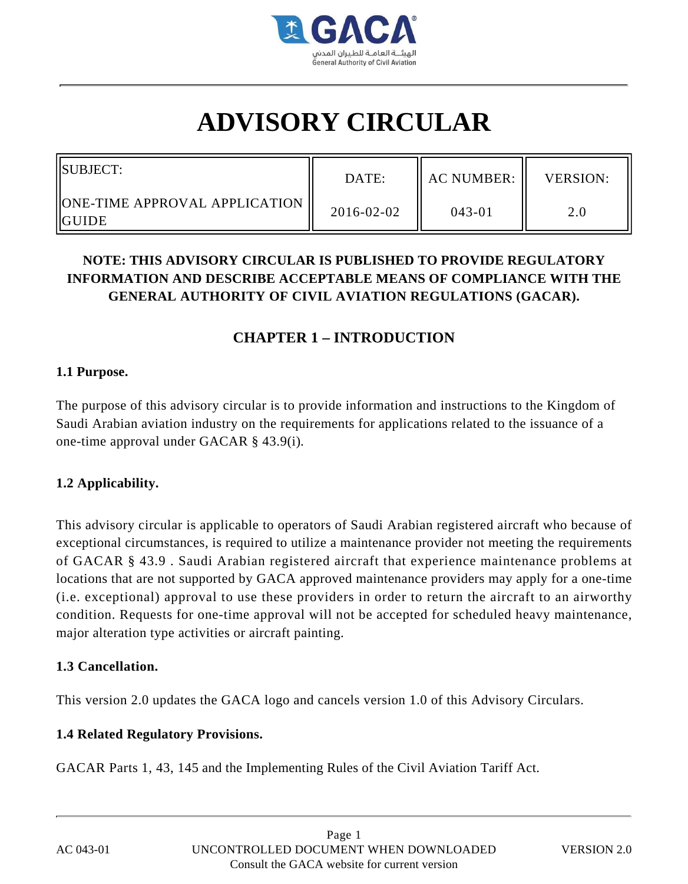

# **ADVISORY CIRCULAR**

| <b>ISUBJECT:</b>                                     | DATE:      | AC NUMBER: II | <b>VERSION:</b> |
|------------------------------------------------------|------------|---------------|-----------------|
| <b>  ONE-TIME APPROVAL APPLICATION   </b><br>liguide | 2016-02-02 | $043 - 01$    |                 |

# **NOTE: THIS ADVISORY CIRCULAR IS PUBLISHED TO PROVIDE REGULATORY INFORMATION AND DESCRIBE ACCEPTABLE MEANS OF COMPLIANCE WITH THE GENERAL AUTHORITY OF CIVIL AVIATION REGULATIONS (GACAR).**

# **CHAPTER 1 – INTRODUCTION**

#### **1.1 Purpose.**

The purpose of this advisory circular is to provide information and instructions to the Kingdom of Saudi Arabian aviation industry on the requirements for applications related to the issuance of a one-time approval under GACAR § 43.9(i).

#### **1.2 Applicability.**

This advisory circular is applicable to operators of Saudi Arabian registered aircraft who because of exceptional circumstances, is required to utilize a maintenance provider not meeting the requirements of GACAR § 43.9 . Saudi Arabian registered aircraft that experience maintenance problems at locations that are not supported by GACA approved maintenance providers may apply for a one-time (i.e. exceptional) approval to use these providers in order to return the aircraft to an airworthy condition. Requests for one-time approval will not be accepted for scheduled heavy maintenance, major alteration type activities or aircraft painting.

#### **1.3 Cancellation.**

This version 2.0 updates the GACA logo and cancels version 1.0 of this Advisory Circulars.

#### **1.4 Related Regulatory Provisions.**

GACAR Parts 1, 43, 145 and the Implementing Rules of the Civil Aviation Tariff Act.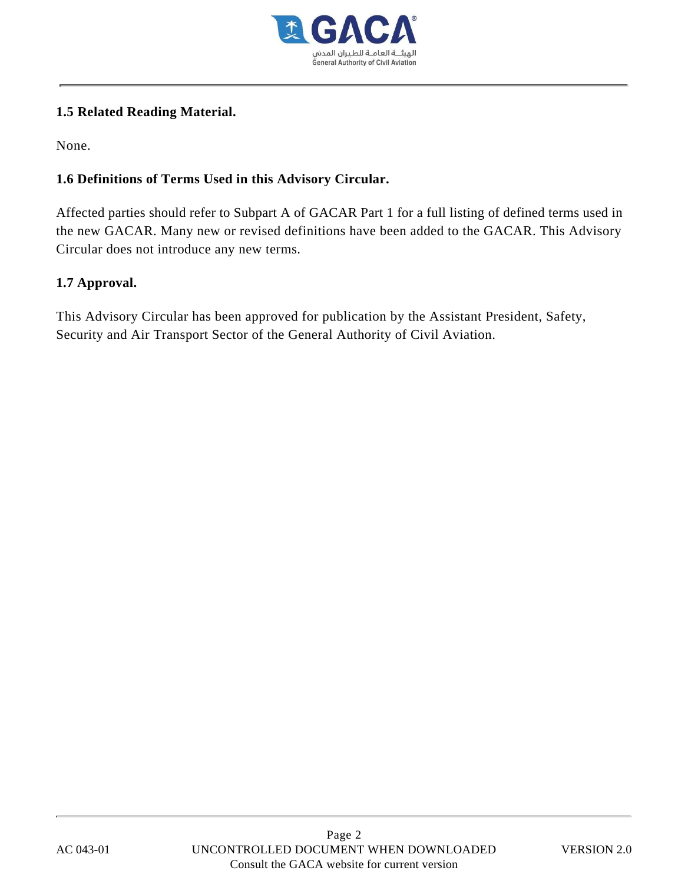

## **1.5 Related Reading Material.**

None.

## **1.6 Definitions of Terms Used in this Advisory Circular.**

Affected parties should refer to Subpart A of GACAR Part 1 for a full listing of defined terms used in the new GACAR. Many new or revised definitions have been added to the GACAR. This Advisory Circular does not introduce any new terms.

## **1.7 Approval.**

This Advisory Circular has been approved for publication by the Assistant President, Safety, Security and Air Transport Sector of the General Authority of Civil Aviation.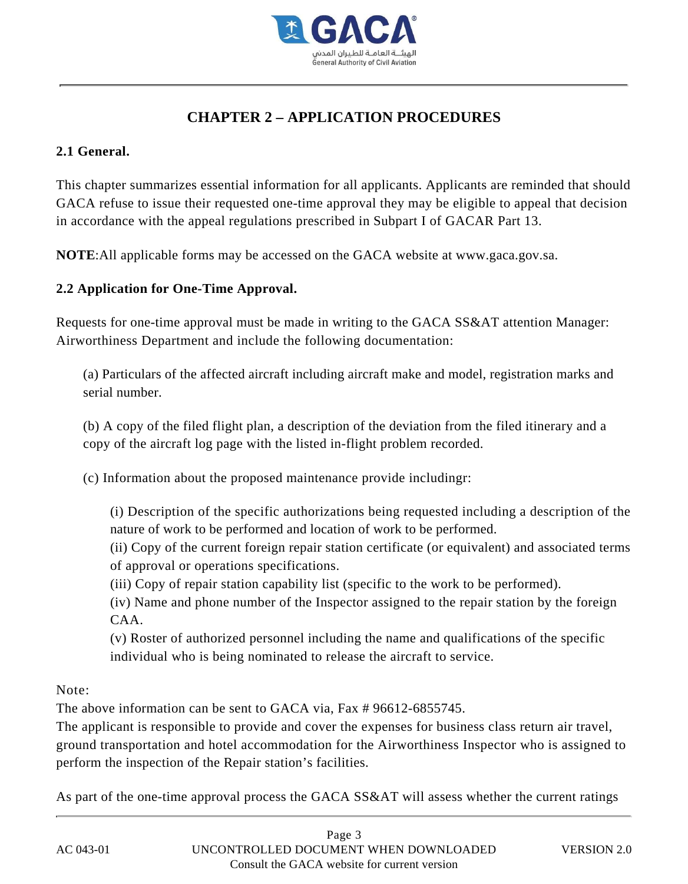

# **CHAPTER 2 – APPLICATION PROCEDURES**

## **2.1 General.**

This chapter summarizes essential information for all applicants. Applicants are reminded that should GACA refuse to issue their requested one-time approval they may be eligible to appeal that decision in accordance with the appeal regulations prescribed in Subpart I of GACAR Part 13.

**NOTE**:All applicable forms may be accessed on the GACA website at www.gaca.gov.sa.

## **2.2 Application for One-Time Approval.**

Requests for one-time approval must be made in writing to the GACA SS&AT attention Manager: Airworthiness Department and include the following documentation:

(a) Particulars of the affected aircraft including aircraft make and model, registration marks and serial number.

(b) A copy of the filed flight plan, a description of the deviation from the filed itinerary and a copy of the aircraft log page with the listed in-flight problem recorded.

(c) Information about the proposed maintenance provide includingr:

(i) Description of the specific authorizations being requested including a description of the nature of work to be performed and location of work to be performed.

(ii) Copy of the current foreign repair station certificate (or equivalent) and associated terms of approval or operations specifications.

(iii) Copy of repair station capability list (specific to the work to be performed).

(iv) Name and phone number of the Inspector assigned to the repair station by the foreign CAA.

(v) Roster of authorized personnel including the name and qualifications of the specific individual who is being nominated to release the aircraft to service.

Note:

The above information can be sent to GACA via, Fax # 96612-6855745.

The applicant is responsible to provide and cover the expenses for business class return air travel, ground transportation and hotel accommodation for the Airworthiness Inspector who is assigned to perform the inspection of the Repair station's facilities.

As part of the one-time approval process the GACA SS&AT will assess whether the current ratings